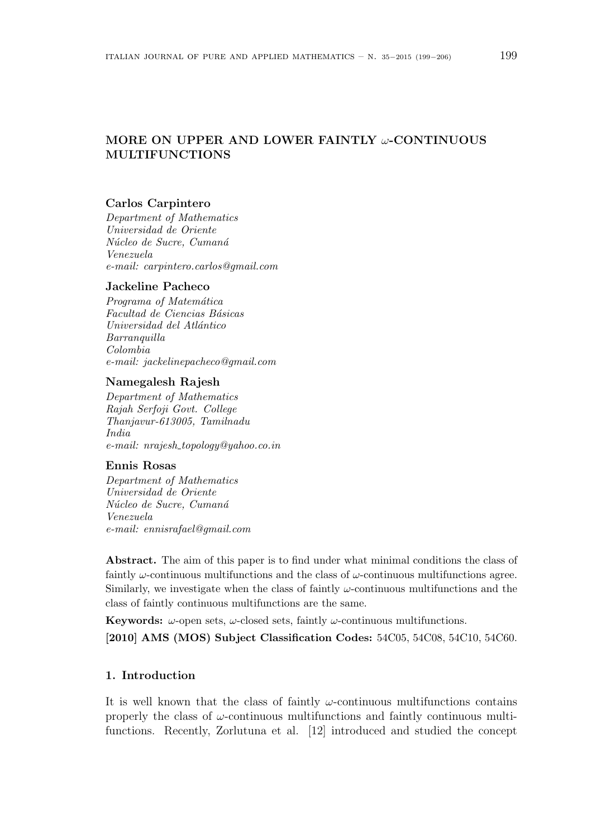# MORE ON UPPER AND LOWER FAINTLY  $\omega$ -CONTINUOUS MULTIFUNCTIONS

#### Carlos Carpintero

Department of Mathematics Universidad de Oriente Núcleo de Sucre, Cumaná Venezuela e-mail: carpintero.carlos@gmail.com

#### Jackeline Pacheco

Programa of Matemática Facultad de Ciencias Básicas Universidad del Atlántico Barranquilla Colombia e-mail: jackelinepacheco@gmail.com

#### Namegalesh Rajesh

Department of Mathematics Rajah Serfoji Govt. College Thanjavur-613005, Tamilnadu India e-mail: nrajesh topology@yahoo.co.in

#### Ennis Rosas

Department of Mathematics Universidad de Oriente Núcleo de Sucre, Cumaná Venezuela e-mail: ennisrafael@gmail.com

Abstract. The aim of this paper is to find under what minimal conditions the class of faintly  $\omega$ -continuous multifunctions and the class of  $\omega$ -continuous multifunctions agree. Similarly, we investigate when the class of faintly  $\omega$ -continuous multifunctions and the class of faintly continuous multifunctions are the same.

**Keywords:**  $\omega$ -open sets,  $\omega$ -closed sets, faintly  $\omega$ -continuous multifunctions. [2010] AMS (MOS) Subject Classification Codes: 54C05, 54C08, 54C10, 54C60.

## 1. Introduction

It is well known that the class of faintly  $\omega$ -continuous multifunctions contains properly the class of  $\omega$ -continuous multifunctions. Recently, Zorlutuna et al. [12] introduced and studied the concept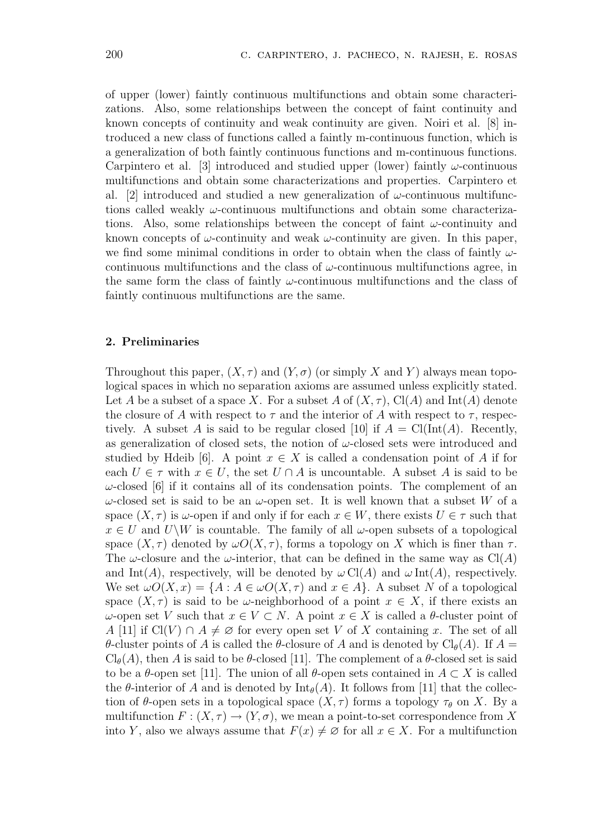of upper (lower) faintly continuous multifunctions and obtain some characterizations. Also, some relationships between the concept of faint continuity and known concepts of continuity and weak continuity are given. Noiri et al. [8] introduced a new class of functions called a faintly m-continuous function, which is a generalization of both faintly continuous functions and m-continuous functions. Carpintero et al. [3] introduced and studied upper (lower) faintly  $\omega$ -continuous multifunctions and obtain some characterizations and properties. Carpintero et al. [2] introduced and studied a new generalization of  $\omega$ -continuous multifunctions called weakly  $\omega$ -continuous multifunctions and obtain some characterizations. Also, some relationships between the concept of faint  $\omega$ -continuity and known concepts of  $\omega$ -continuity and weak  $\omega$ -continuity are given. In this paper, we find some minimal conditions in order to obtain when the class of faintly  $\omega$ continuous multifunctions and the class of  $\omega$ -continuous multifunctions agree, in the same form the class of faintly  $\omega$ -continuous multifunctions and the class of faintly continuous multifunctions are the same.

#### 2. Preliminaries

Throughout this paper,  $(X, \tau)$  and  $(Y, \sigma)$  (or simply X and Y) always mean topological spaces in which no separation axioms are assumed unless explicitly stated. Let A be a subset of a space X. For a subset A of  $(X, \tau)$ , Cl(A) and Int(A) denote the closure of A with respect to  $\tau$  and the interior of A with respect to  $\tau$ , respectively. A subset A is said to be regular closed [10] if  $A = \text{Cl}(\text{Int}(A))$ . Recently, as generalization of closed sets, the notion of  $\omega$ -closed sets were introduced and studied by Hdeib [6]. A point  $x \in X$  is called a condensation point of A if for each  $U \in \tau$  with  $x \in U$ , the set  $U \cap A$  is uncountable. A subset A is said to be  $\omega$ -closed [6] if it contains all of its condensation points. The complement of an  $ω$ -closed set is said to be an  $ω$ -open set. It is well known that a subset W of a space  $(X, \tau)$  is  $\omega$ -open if and only if for each  $x \in W$ , there exists  $U \in \tau$  such that  $x \in U$  and  $U\backslash W$  is countable. The family of all  $\omega$ -open subsets of a topological space  $(X, \tau)$  denoted by  $\omega O(X, \tau)$ , forms a topology on X which is finer than  $\tau$ . The  $\omega$ -closure and the  $\omega$ -interior, that can be defined in the same way as Cl(A) and Int(A), respectively, will be denoted by  $\omega \operatorname{Cl}(A)$  and  $\omega \operatorname{Int}(A)$ , respectively. We set  $\omega O(X, x) = \{A : A \in \omega O(X, \tau) \text{ and } x \in A\}$ . A subset N of a topological space  $(X, \tau)$  is said to be  $\omega$ -neighborhood of a point  $x \in X$ , if there exists an  $ω$ -open set V such that  $x ∈ V ⊂ N$ . A point  $x ∈ X$  is called a θ-cluster point of A [11] if  $Cl(V) \cap A \neq \emptyset$  for every open set V of X containing x. The set of all θ-cluster points of A is called the θ-closure of A and is denoted by  $\text{Cl}_{\theta}(A)$ . If  $A =$  $Cl_{\theta}(A)$ , then A is said to be  $\theta$ -closed [11]. The complement of a  $\theta$ -closed set is said to be a  $\theta$ -open set [11]. The union of all  $\theta$ -open sets contained in  $A \subset X$  is called the  $\theta$ -interior of A and is denoted by  $\text{Int}_{\theta}(A)$ . It follows from [11] that the collection of  $\theta$ -open sets in a topological space  $(X, \tau)$  forms a topology  $\tau_{\theta}$  on X. By a multifunction  $F: (X, \tau) \to (Y, \sigma)$ , we mean a point-to-set correspondence from X into Y, also we always assume that  $F(x) \neq \emptyset$  for all  $x \in X$ . For a multifunction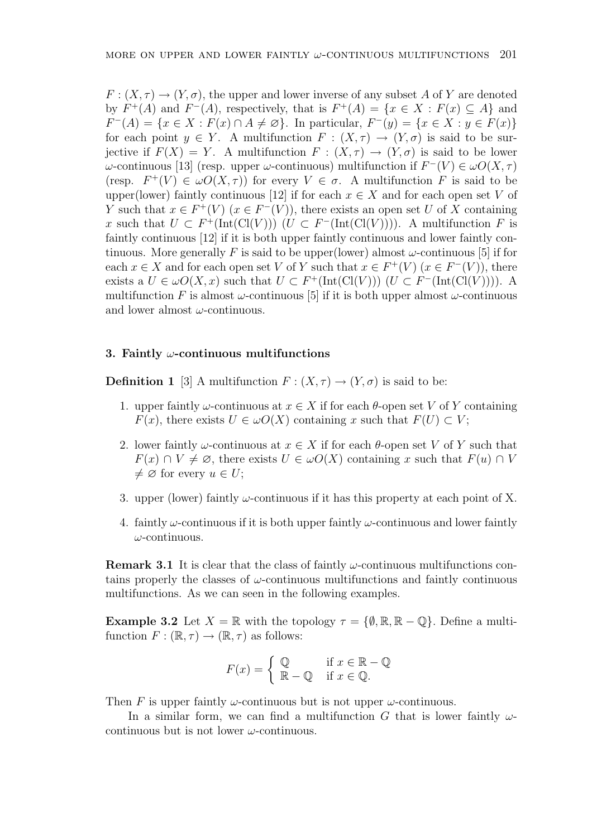$F: (X, \tau) \to (Y, \sigma)$ , the upper and lower inverse of any subset A of Y are denoted by  $F^+(A)$  and  $F^-(A)$ , respectively, that is  $F^+(A) = \{x \in X : F(x) \subseteq A\}$  and  $F^{-}(A) = \{x \in X : F(x) \cap A \neq \emptyset\}.$  In particular,  $F^{-}(y) = \{x \in X : y \in F(x)\}\$ for each point  $y \in Y$ . A multifunction  $F : (X, \tau) \to (Y, \sigma)$  is said to be surjective if  $F(X) = Y$ . A multifunction  $F: (X, \tau) \to (Y, \sigma)$  is said to be lower ω-continuous [13] (resp. upper ω-continuous) multifunction if  $F^{-}(V) \in ωO(X, τ)$ (resp.  $F^+(V) \in \omegaO(X,\tau)$ ) for every  $V \in \sigma$ . A multifunction F is said to be upper(lower) faintly continuous [12] if for each  $x \in X$  and for each open set V of Y such that  $x \in F^+(V)$   $(x \in F^-(V))$ , there exists an open set U of X containing x such that  $U \subset F^+({\rm Int}({\rm Cl}(V)))$   $(U \subset F^-({\rm Int}({\rm Cl}(V))))$ . A multifunction F is faintly continuous [12] if it is both upper faintly continuous and lower faintly continuous. More generally F is said to be upper(lower) almost  $\omega$ -continuous [5] if for each  $x \in X$  and for each open set V of Y such that  $x \in F^+(V)$   $(x \in F^-(V))$ , there exists a  $U \in \omega O(X, x)$  such that  $U \subset F^+(\text{Int}(\text{Cl}(V)))$   $(U \subset F^-(\text{Int}(\text{Cl}(V))))$ . A multifunction F is almost  $\omega$ -continuous [5] if it is both upper almost  $\omega$ -continuous and lower almost  $\omega$ -continuous.

### 3. Faintly  $\omega$ -continuous multifunctions

**Definition 1** [3] A multifunction  $F : (X, \tau) \to (Y, \sigma)$  is said to be:

- 1. upper faintly  $\omega$ -continuous at  $x \in X$  if for each  $\theta$ -open set V of Y containing  $F(x)$ , there exists  $U \in \omega O(X)$  containing x such that  $F(U) \subset V$ ;
- 2. lower faintly  $\omega$ -continuous at  $x \in X$  if for each  $\theta$ -open set V of Y such that  $F(x) \cap V \neq \emptyset$ , there exists  $U \in \omega O(X)$  containing x such that  $F(u) \cap V$  $\neq \emptyset$  for every  $u \in U$ ;
- 3. upper (lower) faintly  $\omega$ -continuous if it has this property at each point of X.
- 4. faintly  $\omega$ -continuous if it is both upper faintly  $\omega$ -continuous and lower faintly  $\omega$ -continuous.

**Remark 3.1** It is clear that the class of faintly  $\omega$ -continuous multifunctions contains properly the classes of  $\omega$ -continuous multifunctions and faintly continuous multifunctions. As we can seen in the following examples.

**Example 3.2** Let  $X = \mathbb{R}$  with the topology  $\tau = \{\emptyset, \mathbb{R}, \mathbb{R} - \mathbb{Q}\}\$ . Define a multifunction  $F : (\mathbb{R}, \tau) \to (\mathbb{R}, \tau)$  as follows:

$$
F(x) = \begin{cases} \mathbb{Q} & \text{if } x \in \mathbb{R} - \mathbb{Q} \\ \mathbb{R} - \mathbb{Q} & \text{if } x \in \mathbb{Q}. \end{cases}
$$

Then F is upper faintly  $\omega$ -continuous but is not upper  $\omega$ -continuous.

In a similar form, we can find a multifunction G that is lower faintly  $\omega$ continuous but is not lower  $\omega$ -continuous.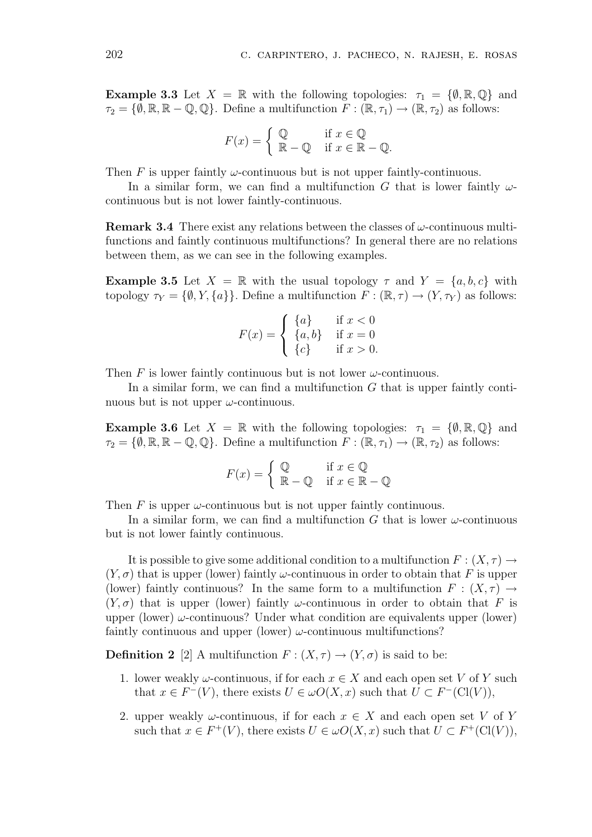**Example 3.3** Let  $X = \mathbb{R}$  with the following topologies:  $\tau_1 = \{\emptyset, \mathbb{R}, \mathbb{Q}\}\$  and  $\tau_2 = \{\emptyset, \mathbb{R}, \mathbb{R} - \mathbb{Q}, \mathbb{Q}\}.$  Define a multifunction  $F : (\mathbb{R}, \tau_1) \to (\mathbb{R}, \tau_2)$  as follows:

$$
F(x) = \begin{cases} \mathbb{Q} & \text{if } x \in \mathbb{Q} \\ \mathbb{R} - \mathbb{Q} & \text{if } x \in \mathbb{R} - \mathbb{Q}. \end{cases}
$$

Then F is upper faintly  $\omega$ -continuous but is not upper faintly-continuous.

In a similar form, we can find a multifunction G that is lower faintly  $\omega$ continuous but is not lower faintly-continuous.

**Remark 3.4** There exist any relations between the classes of  $\omega$ -continuous multifunctions and faintly continuous multifunctions? In general there are no relations between them, as we can see in the following examples.

**Example 3.5** Let  $X = \mathbb{R}$  with the usual topology  $\tau$  and  $Y = \{a, b, c\}$  with topology  $\tau_Y = \{\emptyset, Y, \{a\}\}\.$  Define a multifunction  $F : (\mathbb{R}, \tau) \to (Y, \tau_Y)$  as follows:

$$
F(x) = \begin{cases} \{a\} & \text{if } x < 0\\ \{a, b\} & \text{if } x = 0\\ \{c\} & \text{if } x > 0. \end{cases}
$$

Then F is lower faintly continuous but is not lower  $\omega$ -continuous.

In a similar form, we can find a multifunction  $G$  that is upper faintly continuous but is not upper  $\omega$ -continuous.

**Example 3.6** Let  $X = \mathbb{R}$  with the following topologies:  $\tau_1 = \{\emptyset, \mathbb{R}, \mathbb{Q}\}\$  and  $\tau_2 = \{\emptyset, \mathbb{R}, \mathbb{R} - \mathbb{Q}, \mathbb{Q}\}.$  Define a multifunction  $F : (\mathbb{R}, \tau_1) \to (\mathbb{R}, \tau_2)$  as follows:

$$
F(x) = \begin{cases} \mathbb{Q} & \text{if } x \in \mathbb{Q} \\ \mathbb{R} - \mathbb{Q} & \text{if } x \in \mathbb{R} - \mathbb{Q} \end{cases}
$$

Then  $F$  is upper  $\omega$ -continuous but is not upper faintly continuous.

In a similar form, we can find a multifunction G that is lower  $\omega$ -continuous but is not lower faintly continuous.

It is possible to give some additional condition to a multifunction  $F: (X, \tau) \to$  $(Y, \sigma)$  that is upper (lower) faintly  $\omega$ -continuous in order to obtain that F is upper (lower) faintly continuous? In the same form to a multifunction  $F : (X, \tau) \to$  $(Y, \sigma)$  that is upper (lower) faintly  $\omega$ -continuous in order to obtain that F is upper (lower)  $\omega$ -continuous? Under what condition are equivalents upper (lower) faintly continuous and upper (lower)  $\omega$ -continuous multifunctions?

**Definition 2** [2] A multifunction  $F : (X, \tau) \to (Y, \sigma)$  is said to be:

- 1. lower weakly  $\omega$ -continuous, if for each  $x \in X$  and each open set V of Y such that  $x \in F^{-}(V)$ , there exists  $U \in \omega O(X, x)$  such that  $U \subset F^{-}(Cl(V))$ ,
- 2. upper weakly  $\omega$ -continuous, if for each  $x \in X$  and each open set V of Y such that  $x \in F^+(V)$ , there exists  $U \in \omega O(X, x)$  such that  $U \subset F^+(\mathrm{Cl}(V))$ ,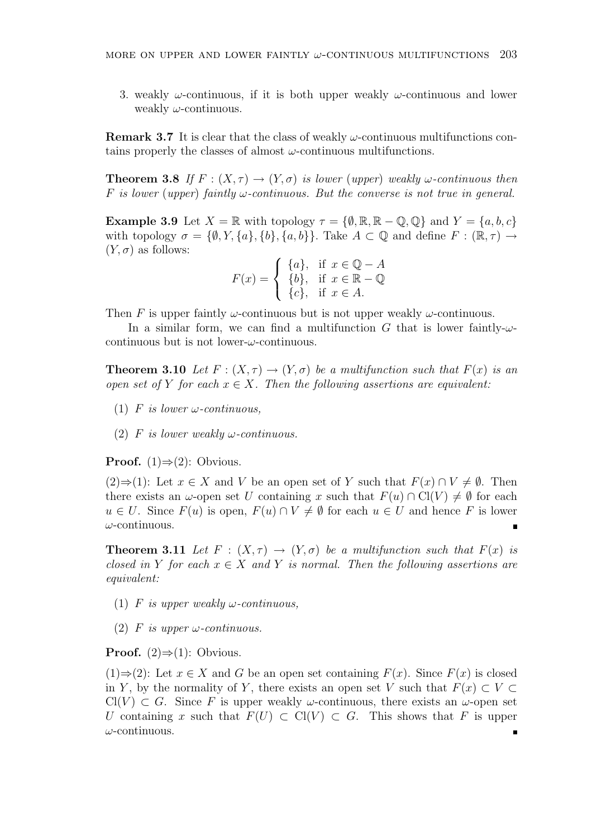3. weakly  $\omega$ -continuous, if it is both upper weakly  $\omega$ -continuous and lower weakly  $\omega$ -continuous.

**Remark 3.7** It is clear that the class of weakly  $\omega$ -continuous multifunctions contains properly the classes of almost  $\omega$ -continuous multifunctions.

**Theorem 3.8** If  $F : (X, \tau) \to (Y, \sigma)$  is lower (upper) weakly  $\omega$ -continuous then F is lower (upper) faintly  $\omega$ -continuous. But the converse is not true in general.

**Example 3.9** Let  $X = \mathbb{R}$  with topology  $\tau = \{\emptyset, \mathbb{R}, \mathbb{R} - \mathbb{Q}, \mathbb{Q}\}\$  and  $Y = \{a, b, c\}$ with topology  $\sigma = \{\emptyset, Y, \{a\}, \{b\}, \{a, b\}\}\$ . Take  $A \subset \mathbb{Q}$  and define  $F : (\mathbb{R}, \tau) \to$  $(Y, \sigma)$  as follows:  $\overline{a}$ 

$$
F(x) = \begin{cases} \{a\}, & \text{if } x \in \mathbb{Q} - A \\ \{b\}, & \text{if } x \in \mathbb{R} - \mathbb{Q} \\ \{c\}, & \text{if } x \in A. \end{cases}
$$

Then F is upper faintly  $\omega$ -continuous but is not upper weakly  $\omega$ -continuous.

In a similar form, we can find a multifunction G that is lower faintly- $\omega$ continuous but is not lower- $\omega$ -continuous.

**Theorem 3.10** Let  $F : (X, \tau) \to (Y, \sigma)$  be a multifunction such that  $F(x)$  is an open set of Y for each  $x \in X$ . Then the following assertions are equivalent:

- (1) F is lower  $\omega$ -continuous,
- (2) F is lower weakly  $\omega$ -continuous.

**Proof.** (1) $\Rightarrow$ (2): Obvious.

(2)⇒(1): Let  $x \in X$  and V be an open set of Y such that  $F(x) \cap V \neq \emptyset$ . Then there exists an  $\omega$ -open set U containing x such that  $F(u) \cap \mathrm{Cl}(V) \neq \emptyset$  for each  $u \in U$ . Since  $F(u)$  is open,  $F(u) \cap V \neq \emptyset$  for each  $u \in U$  and hence F is lower  $\omega$ -continuous.

**Theorem 3.11** Let  $F : (X, \tau) \to (Y, \sigma)$  be a multifunction such that  $F(x)$  is closed in Y for each  $x \in X$  and Y is normal. Then the following assertions are equivalent:

- (1) F is upper weakly  $\omega$ -continuous,
- (2) F is upper  $\omega$ -continuous.

**Proof.**  $(2) \Rightarrow (1)$ : Obvious.

 $(1) \Rightarrow (2)$ : Let  $x \in X$  and G be an open set containing  $F(x)$ . Since  $F(x)$  is closed in Y, by the normality of Y, there exists an open set V such that  $F(x) \subset V \subset$  $Cl(V) \subset G$ . Since F is upper weakly  $\omega$ -continuous, there exists an  $\omega$ -open set U containing x such that  $F(U) \subset \mathrm{Cl}(V) \subset G$ . This shows that F is upper  $\omega$ -continuous.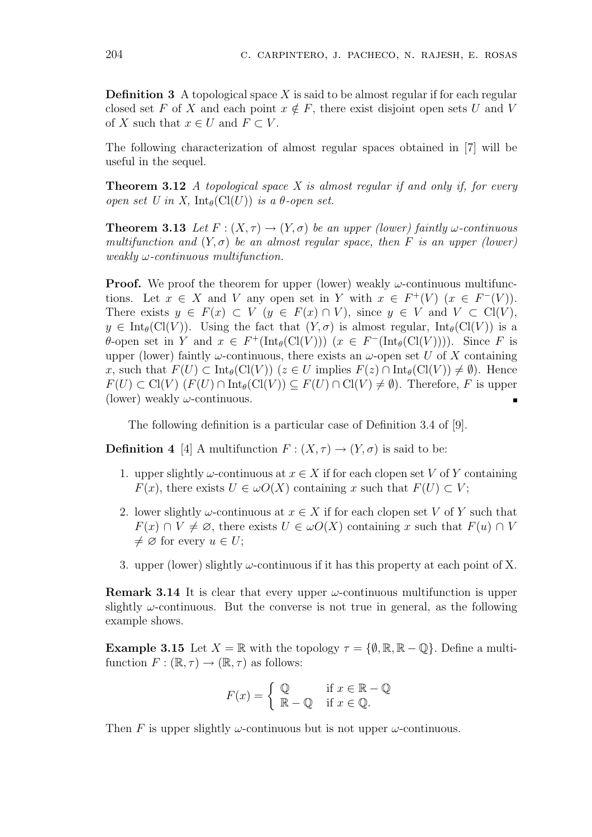**Definition 3** A topological space X is said to be almost regular if for each regular closed set F of X and each point  $x \notin F$ , there exist disjoint open sets U and V of X such that  $x \in U$  and  $F \subset V$ .

The following characterization of almost regular spaces obtained in [7] will be useful in the sequel.

**Theorem 3.12** A topological space X is almost regular if and only if, for every open set U in X,  $\text{Int}_{\theta}(\text{Cl}(U))$  is a  $\theta$ -open set.

**Theorem 3.13** Let  $F : (X, \tau) \to (Y, \sigma)$  be an upper (lower) faintly  $\omega$ -continuous multifunction and  $(Y, \sigma)$  be an almost regular space, then F is an upper (lower)  $weakly \omega$ -continuous multifunction.

**Proof.** We proof the theorem for upper (lower) weakly  $\omega$ -continuous multifunctions. Let  $x \in X$  and V any open set in Y with  $x \in F^+(V)$   $(x \in F^-(V))$ . There exists  $y \in F(x) \subset V$   $(y \in F(x) \cap V)$ , since  $y \in V$  and  $V \subset Cl(V)$ ,  $y \in Int_{\theta}(\text{Cl}(V))$ . Using the fact that  $(Y, \sigma)$  is almost regular,  $Int_{\theta}(\text{Cl}(V))$  is a  $\theta$ -open set in Y and  $x \in F^+(\text{Int}_{\theta}(\text{Cl}(V)))$   $(x \in F^-(\text{Int}_{\theta}(\text{Cl}(V))))$ . Since F is upper (lower) faintly  $\omega$ -continuous, there exists an  $\omega$ -open set U of X containing x, such that  $F(U) \subset \text{Int}_{\theta}(\text{Cl}(V))$  ( $z \in U$  implies  $F(z) \cap \text{Int}_{\theta}(\text{Cl}(V)) \neq \emptyset$ ). Hence  $F(U) \subset \mathrm{Cl}(V)$   $(F(U) \cap \mathrm{Int}_{\theta}(\mathrm{Cl}(V)) \subseteq F(U) \cap \mathrm{Cl}(V) \neq \emptyset)$ . Therefore, F is upper (lower) weakly  $\omega$ -continuous.

The following definition is a particular case of Definition 3.4 of [9].

**Definition 4** [4] A multifunction  $F : (X, \tau) \to (Y, \sigma)$  is said to be:

- 1. upper slightly  $\omega$ -continuous at  $x \in X$  if for each clopen set V of Y containing  $F(x)$ , there exists  $U \in \omega O(X)$  containing x such that  $F(U) \subset V$ ;
- 2. lower slightly  $\omega$ -continuous at  $x \in X$  if for each clopen set V of Y such that  $F(x) \cap V \neq \emptyset$ , there exists  $U \in \omega O(X)$  containing x such that  $F(u) \cap V$  $\neq \emptyset$  for every  $u \in U$ ;
- 3. upper (lower) slightly  $\omega$ -continuous if it has this property at each point of X.

**Remark 3.14** It is clear that every upper  $\omega$ -continuous multifunction is upper slightly  $\omega$ -continuous. But the converse is not true in general, as the following example shows.

**Example 3.15** Let  $X = \mathbb{R}$  with the topology  $\tau = \{\emptyset, \mathbb{R}, \mathbb{R} - \mathbb{Q}\}\$ . Define a multifunction  $F : (\mathbb{R}, \tau) \to (\mathbb{R}, \tau)$  as follows:

$$
F(x) = \begin{cases} \mathbb{Q} & \text{if } x \in \mathbb{R} - \mathbb{Q} \\ \mathbb{R} - \mathbb{Q} & \text{if } x \in \mathbb{Q}. \end{cases}
$$

Then F is upper slightly  $\omega$ -continuous but is not upper  $\omega$ -continuous.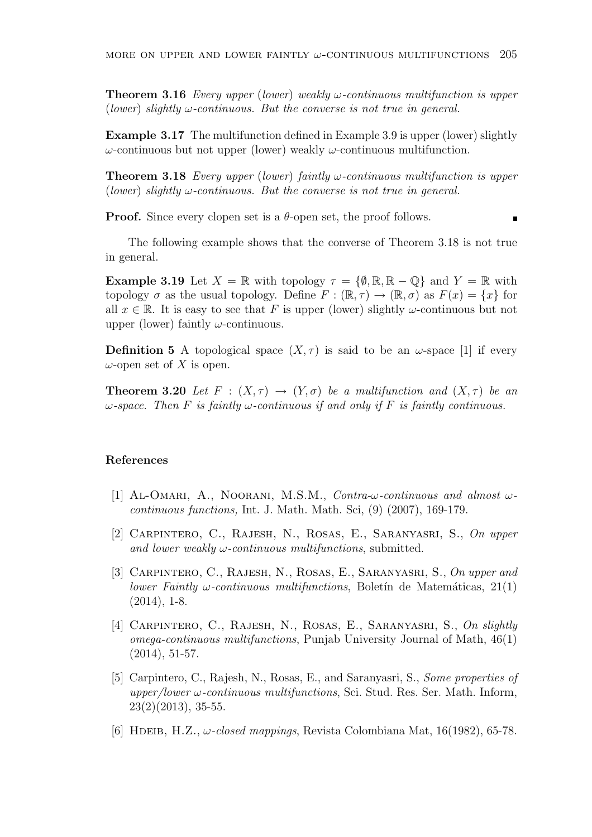**Theorem 3.16** Every upper (lower) weakly  $\omega$ -continuous multifunction is upper (lower) slightly  $\omega$ -continuous. But the converse is not true in general.

Example 3.17 The multifunction defined in Example 3.9 is upper (lower) slightly ω-continuous but not upper (lower) weakly ω-continuous multifunction.

**Theorem 3.18** Every upper (lower) faintly  $\omega$ -continuous multifunction is upper (lower) slightly  $\omega$ -continuous. But the converse is not true in general.

**Proof.** Since every clopen set is a  $\theta$ -open set, the proof follows.

The following example shows that the converse of Theorem 3.18 is not true in general.

**Example 3.19** Let  $X = \mathbb{R}$  with topology  $\tau = \{\emptyset, \mathbb{R}, \mathbb{R} - \mathbb{Q}\}\$  and  $Y = \mathbb{R}$  with topology  $\sigma$  as the usual topology. Define  $F : (\mathbb{R}, \tau) \to (\mathbb{R}, \sigma)$  as  $F(x) = \{x\}$  for all  $x \in \mathbb{R}$ . It is easy to see that F is upper (lower) slightly  $\omega$ -continuous but not upper (lower) faintly  $\omega$ -continuous.

**Definition 5** A topological space  $(X, \tau)$  is said to be an  $\omega$ -space [1] if every  $\omega$ -open set of X is open.

**Theorem 3.20** Let  $F : (X, \tau) \to (Y, \sigma)$  be a multifunction and  $(X, \tau)$  be an  $\omega$ -space. Then F is faintly  $\omega$ -continuous if and only if F is faintly continuous.

#### References

- [1] AL-OMARI, A., NOORANI, M.S.M., Contra- $\omega$ -continuous and almost  $\omega$ continuous functions, Int. J. Math. Math. Sci, (9) (2007), 169-179.
- [2] Carpintero, C., Rajesh, N., Rosas, E., Saranyasri, S., On upper and lower weakly  $\omega$ -continuous multifunctions, submitted.
- [3] Carpintero, C., Rajesh, N., Rosas, E., Saranyasri, S., On upper and lower Faintly  $\omega$ -continuous multifunctions, Boletin de Matemáticas, 21(1)  $(2014)$ , 1-8.
- [4] CARPINTERO, C., RAJESH, N., ROSAS, E., SARANYASRI, S., On slightly omega-continuous multifunctions, Punjab University Journal of Math, 46(1) (2014), 51-57.
- [5] Carpintero, C., Rajesh, N., Rosas, E., and Saranyasri, S., Some properties of upper/lower  $\omega$ -continuous multifunctions, Sci. Stud. Res. Ser. Math. Inform, 23(2)(2013), 35-55.
- [6] HDEIB, H.Z.,  $\omega$ -closed mappings, Revista Colombiana Mat, 16(1982), 65-78.